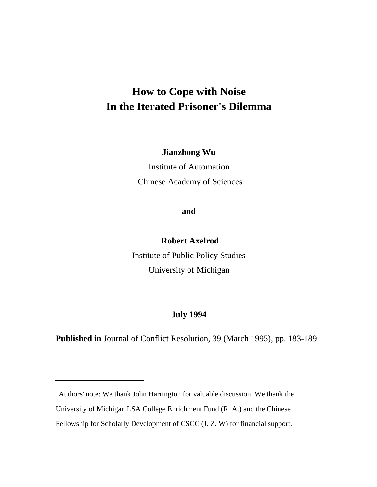# **How to Cope with Noise In the Iterated Prisoner's Dilemma**

**Jianzhong Wu**

Institute of Automation Chinese Academy of Sciences

**and**

 **Robert Axelrod**

Institute of Public Policy Studies University of Michigan

## **July 1994**

**Published in** Journal of Conflict Resolution, 39 (March 1995), pp. 183-189.

Authors' note: We thank John Harrington for valuable discussion. We thank the University of Michigan LSA College Enrichment Fund (R. A.) and the Chinese Fellowship for Scholarly Development of CSCC (J. Z. W) for financial support.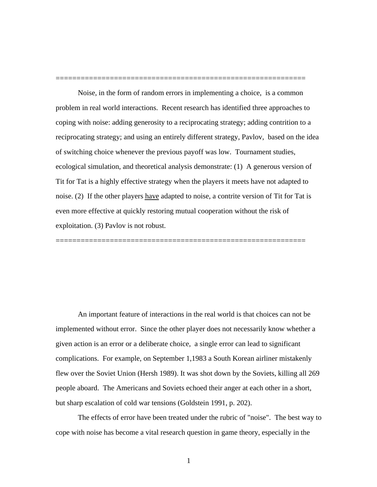Noise, in the form of random errors in implementing a choice, is a common problem in real world interactions. Recent research has identified three approaches to coping with noise: adding generosity to a reciprocating strategy; adding contrition to a reciprocating strategy; and using an entirely different strategy, Pavlov, based on the idea of switching choice whenever the previous payoff was low. Tournament studies, ecological simulation, and theoretical analysis demonstrate: (1) A generous version of Tit for Tat is a highly effective strategy when the players it meets have not adapted to noise. (2) If the other players have adapted to noise, a contrite version of Tit for Tat is even more effective at quickly restoring mutual cooperation without the risk of exploitation. (3) Pavlov is not robust.

============================================================

============================================================

An important feature of interactions in the real world is that choices can not be implemented without error. Since the other player does not necessarily know whether a given action is an error or a deliberate choice, a single error can lead to significant complications. For example, on September 1,1983 a South Korean airliner mistakenly flew over the Soviet Union (Hersh 1989). It was shot down by the Soviets, killing all 269 people aboard. The Americans and Soviets echoed their anger at each other in a short, but sharp escalation of cold war tensions (Goldstein 1991, p. 202).

The effects of error have been treated under the rubric of "noise". The best way to cope with noise has become a vital research question in game theory, especially in the

1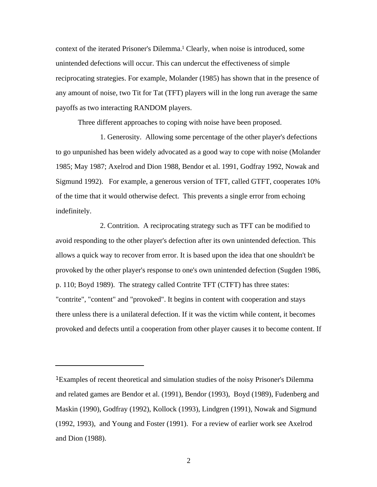context of the iterated Prisoner's Dilemma.1 Clearly, when noise is introduced, some unintended defections will occur. This can undercut the effectiveness of simple reciprocating strategies. For example, Molander (1985) has shown that in the presence of any amount of noise, two Tit for Tat (TFT) players will in the long run average the same payoffs as two interacting RANDOM players.

Three different approaches to coping with noise have been proposed.

1. Generosity. Allowing some percentage of the other player's defections to go unpunished has been widely advocated as a good way to cope with noise (Molander 1985; May 1987; Axelrod and Dion 1988, Bendor et al. 1991, Godfray 1992, Nowak and Sigmund 1992). For example, a generous version of TFT, called GTFT, cooperates 10% of the time that it would otherwise defect. This prevents a single error from echoing indefinitely.

2. Contrition. A reciprocating strategy such as TFT can be modified to avoid responding to the other player's defection after its own unintended defection. This allows a quick way to recover from error. It is based upon the idea that one shouldn't be provoked by the other player's response to one's own unintended defection (Sugden 1986, p. 110; Boyd 1989). The strategy called Contrite TFT (CTFT) has three states: "contrite", "content" and "provoked". It begins in content with cooperation and stays there unless there is a unilateral defection. If it was the victim while content, it becomes provoked and defects until a cooperation from other player causes it to become content. If

<sup>1</sup>Examples of recent theoretical and simulation studies of the noisy Prisoner's Dilemma and related games are Bendor et al. (1991), Bendor (1993), Boyd (1989), Fudenberg and Maskin (1990), Godfray (1992), Kollock (1993), Lindgren (1991), Nowak and Sigmund (1992, 1993), and Young and Foster (1991). For a review of earlier work see Axelrod and Dion (1988).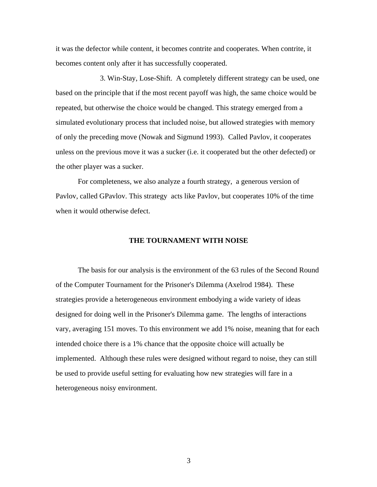it was the defector while content, it becomes contrite and cooperates. When contrite, it becomes content only after it has successfully cooperated.

3. Win-Stay, Lose-Shift. A completely different strategy can be used, one based on the principle that if the most recent payoff was high, the same choice would be repeated, but otherwise the choice would be changed. This strategy emerged from a simulated evolutionary process that included noise, but allowed strategies with memory of only the preceding move (Nowak and Sigmund 1993). Called Pavlov, it cooperates unless on the previous move it was a sucker (i.e. it cooperated but the other defected) or the other player was a sucker.

For completeness, we also analyze a fourth strategy, a generous version of Pavlov, called GPavlov. This strategy acts like Pavlov, but cooperates 10% of the time when it would otherwise defect.

#### **THE TOURNAMENT WITH NOISE**

The basis for our analysis is the environment of the 63 rules of the Second Round of the Computer Tournament for the Prisoner's Dilemma (Axelrod 1984). These strategies provide a heterogeneous environment embodying a wide variety of ideas designed for doing well in the Prisoner's Dilemma game. The lengths of interactions vary, averaging 151 moves. To this environment we add 1% noise, meaning that for each intended choice there is a 1% chance that the opposite choice will actually be implemented. Although these rules were designed without regard to noise, they can still be used to provide useful setting for evaluating how new strategies will fare in a heterogeneous noisy environment.

3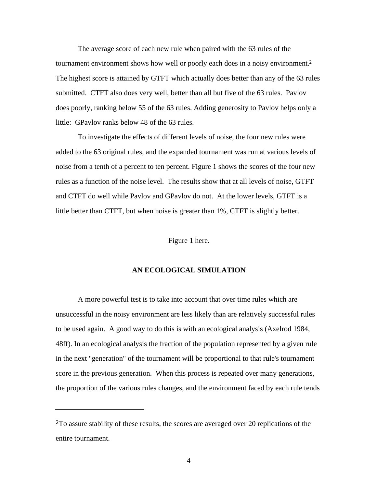The average score of each new rule when paired with the 63 rules of the tournament environment shows how well or poorly each does in a noisy environment.<sup>2</sup> The highest score is attained by GTFT which actually does better than any of the 63 rules submitted. CTFT also does very well, better than all but five of the 63 rules. Pavlov does poorly, ranking below 55 of the 63 rules. Adding generosity to Pavlov helps only a little: GPavlov ranks below 48 of the 63 rules.

To investigate the effects of different levels of noise, the four new rules were added to the 63 original rules, and the expanded tournament was run at various levels of noise from a tenth of a percent to ten percent. Figure 1 shows the scores of the four new rules as a function of the noise level. The results show that at all levels of noise, GTFT and CTFT do well while Pavlov and GPavlov do not. At the lower levels, GTFT is a little better than CTFT, but when noise is greater than 1%, CTFT is slightly better.

Figure 1 here.

## **AN ECOLOGICAL SIMULATION**

A more powerful test is to take into account that over time rules which are unsuccessful in the noisy environment are less likely than are relatively successful rules to be used again. A good way to do this is with an ecological analysis (Axelrod 1984, 48ff). In an ecological analysis the fraction of the population represented by a given rule in the next "generation" of the tournament will be proportional to that rule's tournament score in the previous generation. When this process is repeated over many generations, the proportion of the various rules changes, and the environment faced by each rule tends

<sup>2</sup>To assure stability of these results, the scores are averaged over 20 replications of the entire tournament.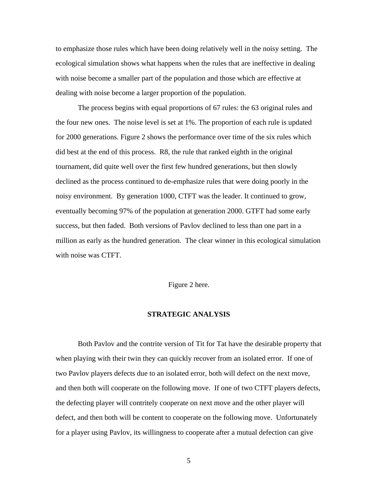to emphasize those rules which have been doing relatively well in the noisy setting. The ecological simulation shows what happens when the rules that are ineffective in dealing with noise become a smaller part of the population and those which are effective at dealing with noise become a larger proportion of the population.

The process begins with equal proportions of 67 rules: the 63 original rules and the four new ones. The noise level is set at 1%. The proportion of each rule is updated for 2000 generations. Figure 2 shows the performance over time of the six rules which did best at the end of this process. R8, the rule that ranked eighth in the original tournament, did quite well over the first few hundred generations, but then slowly declined as the process continued to de-emphasize rules that were doing poorly in the noisy environment. By generation 1000, CTFT was the leader. It continued to grow, eventually becoming 97% of the population at generation 2000. GTFT had some early success, but then faded. Both versions of Pavlov declined to less than one part in a million as early as the hundred generation. The clear winner in this ecological simulation with noise was CTFT.

## Figure 2 here.

### **STRATEGIC ANALYSIS**

Both Pavlov and the contrite version of Tit for Tat have the desirable property that when playing with their twin they can quickly recover from an isolated error. If one of two Pavlov players defects due to an isolated error, both will defect on the next move, and then both will cooperate on the following move. If one of two CTFT players defects, the defecting player will contritely cooperate on next move and the other player will defect, and then both will be content to cooperate on the following move. Unfortunately for a player using Pavlov, its willingness to cooperate after a mutual defection can give

5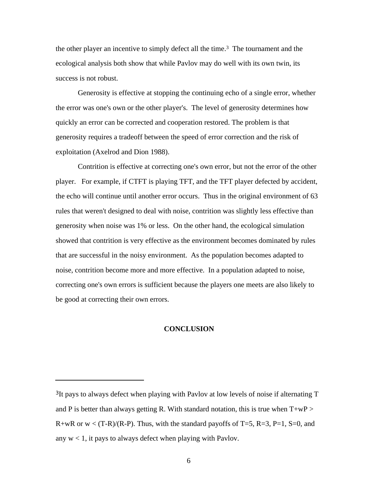the other player an incentive to simply defect all the time.3 The tournament and the ecological analysis both show that while Pavlov may do well with its own twin, its success is not robust.

Generosity is effective at stopping the continuing echo of a single error, whether the error was one's own or the other player's. The level of generosity determines how quickly an error can be corrected and cooperation restored. The problem is that generosity requires a tradeoff between the speed of error correction and the risk of exploitation (Axelrod and Dion 1988).

Contrition is effective at correcting one's own error, but not the error of the other player. For example, if CTFT is playing TFT, and the TFT player defected by accident, the echo will continue until another error occurs. Thus in the original environment of 63 rules that weren't designed to deal with noise, contrition was slightly less effective than generosity when noise was 1% or less. On the other hand, the ecological simulation showed that contrition is very effective as the environment becomes dominated by rules that are successful in the noisy environment. As the population becomes adapted to noise, contrition become more and more effective. In a population adapted to noise, correcting one's own errors is sufficient because the players one meets are also likely to be good at correcting their own errors.

#### **CONCLUSION**

<sup>3</sup>It pays to always defect when playing with Pavlov at low levels of noise if alternating T and P is better than always getting R. With standard notation, this is true when  $T+wP$ R+wR or  $w < (T-R)/(R-P)$ . Thus, with the standard payoffs of T=5, R=3, P=1, S=0, and any  $w < 1$ , it pays to always defect when playing with Pavlov.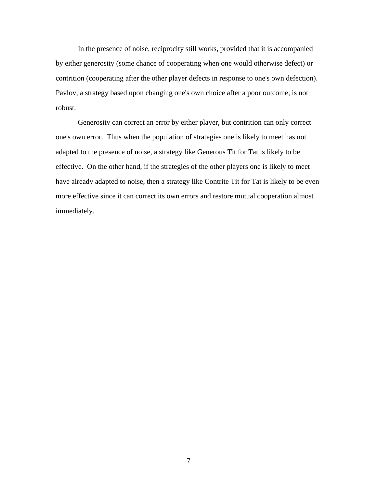In the presence of noise, reciprocity still works, provided that it is accompanied by either generosity (some chance of cooperating when one would otherwise defect) or contrition (cooperating after the other player defects in response to one's own defection). Pavlov, a strategy based upon changing one's own choice after a poor outcome, is not robust.

Generosity can correct an error by either player, but contrition can only correct one's own error. Thus when the population of strategies one is likely to meet has not adapted to the presence of noise, a strategy like Generous Tit for Tat is likely to be effective. On the other hand, if the strategies of the other players one is likely to meet have already adapted to noise, then a strategy like Contrite Tit for Tat is likely to be even more effective since it can correct its own errors and restore mutual cooperation almost immediately.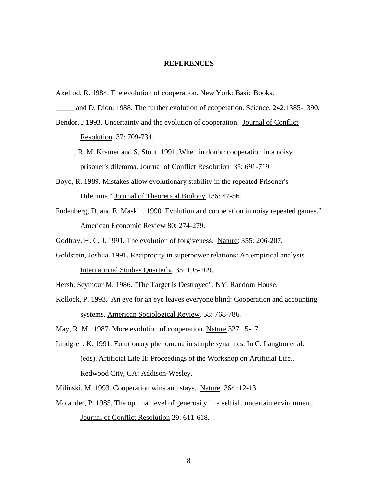#### **REFERENCES**

- Axelrod, R. 1984. The evolution of cooperation. New York: Basic Books.
- and D. Dion. 1988. The further evolution of cooperation. Science, 242:1385-1390.
- Bendor, J 1993. Uncertainty and the evolution of cooperation. Journal of Conflict Resolution. 37: 709-734.
- \_\_\_\_\_, R. M. Kramer and S. Stout. 1991. When in doubt: cooperation in a noisy prisoner's dilemma. Journal of Conflict Resolution 35: 691-719
- Boyd, R. 1989. Mistakes allow evolutionary stability in the repeated Prisoner's Dilemma." Journal of Theoretical Biology 136: 47-56.
- Fudenberg, D, and E. Maskin. 1990. Evolution and cooperation in noisy repeated games." American Economic Review 80: 274-279.
- Godfray, H. C. J. 1991. The evolution of forgiveness. Nature: 355: 206-207.
- Goldstein, Joshua. 1991. Reciprocity in superpower relations: An empirical analysis. International Studies Quarterly, 35: 195-209.
- Hersh, Seymour M. 1986. "The Target is Destroyed". NY: Random House.
- Kollock, P. 1993. An eye for an eye leaves everyone blind: Cooperation and accounting systems. American Sociological Review. 58: 768-786.
- May, R. M.. 1987. More evolution of cooperation. Nature 327,15-17.
- Lindgren, K. 1991. Eolutionary phenomena in simple synamics. In C. Langton et al. (eds). Artificial Life II: Proceedings of the Workshop on Artificial Life.. Redwood City, CA: Addison-Wesley.
- Milinski, M. 1993. Cooperation wins and stays. Nature. 364: 12-13.
- Molander, P. 1985. The optimal level of generosity in a selfish, uncertain environment. Journal of Conflict Resolution 29: 611-618.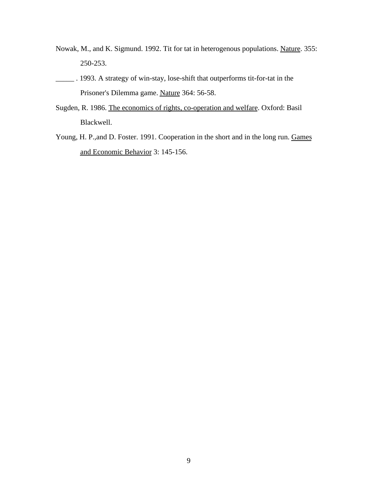- Nowak, M., and K. Sigmund. 1992. Tit for tat in heterogenous populations. Nature. 355: 250-253.
- 1993. A strategy of win-stay, lose-shift that outperforms tit-for-tat in the Prisoner's Dilemma game. Nature 364: 56-58.
- Sugden, R. 1986. The economics of rights, co-operation and welfare. Oxford: Basil Blackwell.
- Young, H. P.,and D. Foster. 1991. Cooperation in the short and in the long run. Games and Economic Behavior 3: 145-156.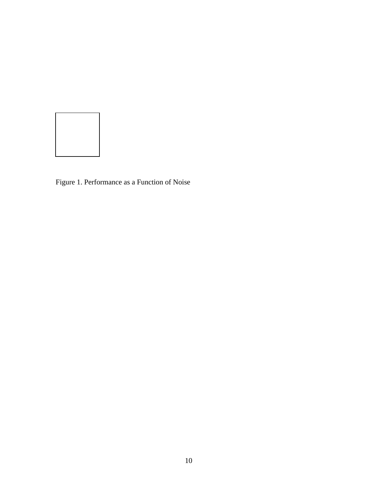

Figure 1. Performance as a Function of Noise